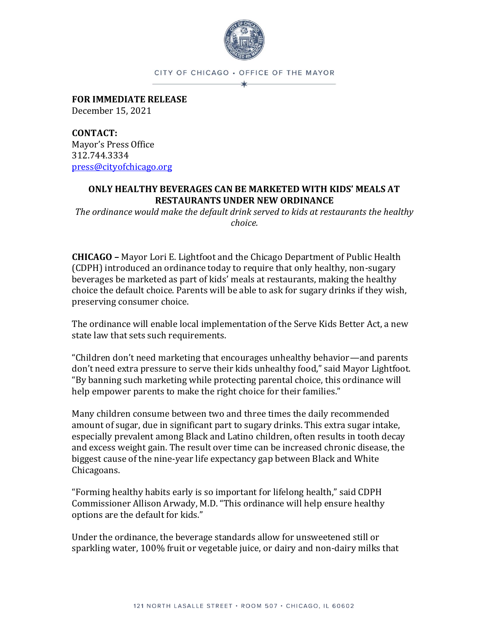

CITY OF CHICAGO . OFFICE OF THE MAYOR

**FOR IMMEDIATE RELEASE** December 15, 2021

**CONTACT:** Mayor's Press Office 312.744.3334 [press@cityofchicago.org](mailto:press@cityofchicago.org)

## **ONLY HEALTHY BEVERAGES CAN BE MARKETED WITH KIDS' MEALS AT RESTAURANTS UNDER NEW ORDINANCE**

*The ordinance would make the default drink served to kids at restaurants the healthy choice.*

**CHICAGO –** Mayor Lori E. Lightfoot and the Chicago Department of Public Health (CDPH) introduced an ordinance today to require that only healthy, non-sugary beverages be marketed as part of kids' meals at restaurants, making the healthy choice the default choice. Parents will be able to ask for sugary drinks if they wish, preserving consumer choice.

The ordinance will enable local implementation of the Serve Kids Better Act, a new state law that sets such requirements.

"Children don't need marketing that encourages unhealthy behavior—and parents don't need extra pressure to serve their kids unhealthy food," said Mayor Lightfoot. "By banning such marketing while protecting parental choice, this ordinance will help empower parents to make the right choice for their families."

Many children consume between two and three times the daily recommended amount of sugar, due in significant part to sugary drinks. This extra sugar intake, especially prevalent among Black and Latino children, often results in tooth decay and excess weight gain. The result over time can be increased chronic disease, the biggest cause of the nine-year life expectancy gap between Black and White Chicagoans.

"Forming healthy habits early is so important for lifelong health," said CDPH Commissioner Allison Arwady, M.D. "This ordinance will help ensure healthy options are the default for kids."

Under the ordinance, the beverage standards allow for unsweetened still or sparkling water, 100% fruit or vegetable juice, or dairy and non-dairy milks that